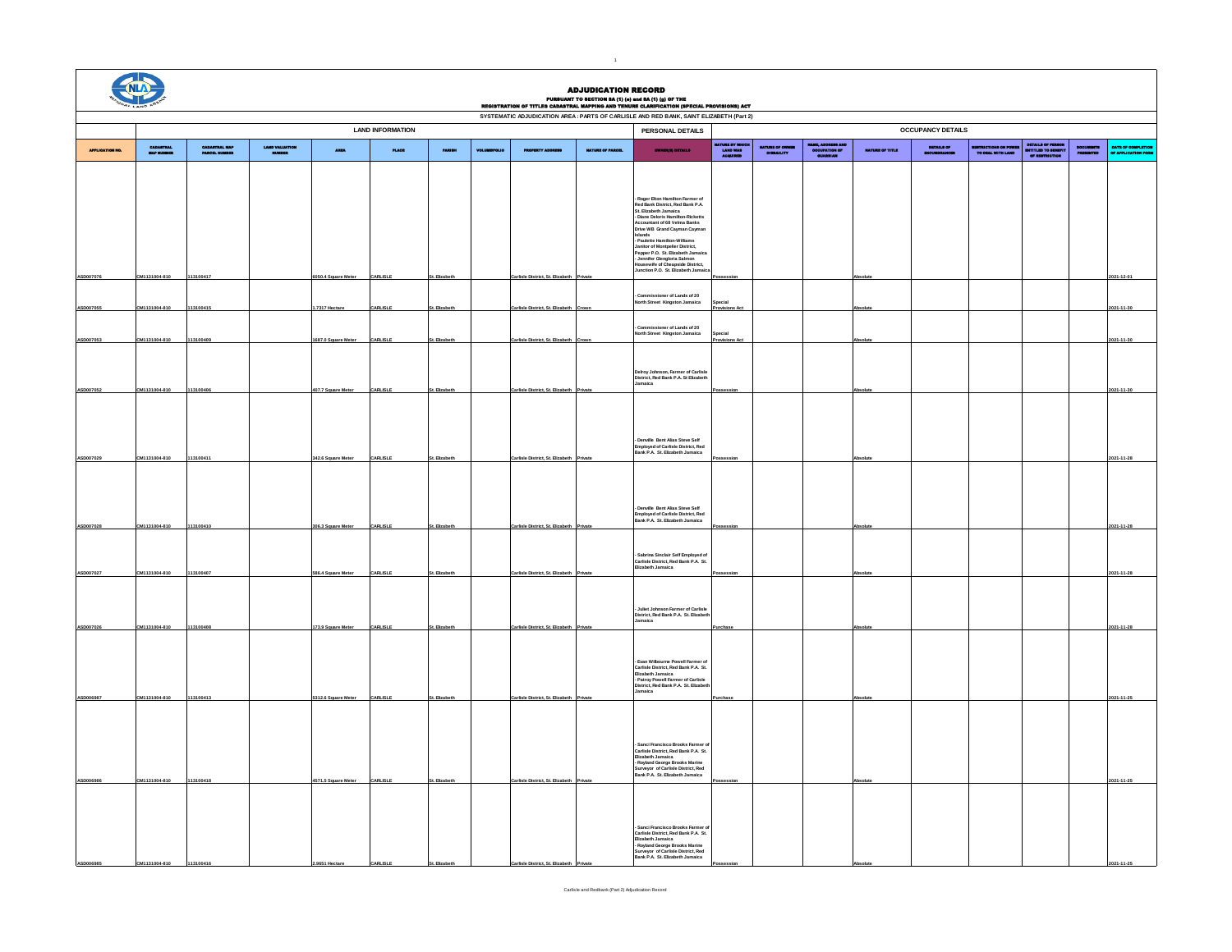|                  |                           |                                |                     |                          |          |                      |                                  | <b>ADJUDICATION RECORD</b> | PURSUANT TO SHOTION 8A (1) (e) and 8A (1) (g) OF THE<br>REGISTRATION OF TITLES CADASTRAL MAPPING AND TENURE CLARIFICATION (SPECIAL PROVISIONS) ACT                                                                                                                                                               |                                           |                               |                             |                       |            |                                    |                                                   |  |                                 |
|------------------|---------------------------|--------------------------------|---------------------|--------------------------|----------|----------------------|----------------------------------|----------------------------|------------------------------------------------------------------------------------------------------------------------------------------------------------------------------------------------------------------------------------------------------------------------------------------------------------------|-------------------------------------------|-------------------------------|-----------------------------|-----------------------|------------|------------------------------------|---------------------------------------------------|--|---------------------------------|
|                  |                           |                                |                     |                          |          |                      |                                  |                            | SYSTEMATIC ADJUDICATION AREA : PARTS OF CARLISLE AND RED BANK, SAINT ELIZABETH (Part 2)                                                                                                                                                                                                                          |                                           |                               |                             |                       |            |                                    |                                                   |  |                                 |
|                  |                           |                                | PERSONAL DETAILS    | <b>OCCUPANCY DETAILS</b> |          |                      |                                  |                            |                                                                                                                                                                                                                                                                                                                  |                                           |                               |                             |                       |            |                                    |                                                   |  |                                 |
| APPLICAT         | CABASTRAL<br>Mar revières | CADASTRAL MAP<br>PAROSA HUMBUR | LAND VALL<br>Milita | <b>ARMS</b>              | PLACE    | <b>PARTIES</b>       |                                  | <b>INTURE OF PARCE</b>     | <b>OWNER(S) DETAILS</b>                                                                                                                                                                                                                                                                                          | AYURIN BY' WAN<br>LAUID WAA<br>ADQUULIIID | INTUNE OF CUREB<br>DIGINALITY | 10123, AD<br>000131<br>0131 | <b>NATURE OF THEF</b> | DITAILS OF | NUMBER ON POW<br>TO BEAL WITH LAND | DITAILO OF FIN<br>DIVITAID TO BIG<br>OF RESTRICTI |  | navn ov colá<br><b>SEATTLIN</b> |
|                  |                           |                                |                     |                          |          |                      |                                  |                            | Roger Elton Hamilton Farmer of<br>Red Bank District, Red Bank P.A.<br>St. Elizabeth Jamaica<br>- Diane Deloris Hamilton-Ricketts<br>Accountant of 68 Velma Banks<br>Drive WB Grand Cayman Cayman<br>Islands<br>- Paulette Hamilton-Williams<br>Janitor of Montpelier District,<br>Pepper P.O. St. Elizabeth Jama |                                           |                               |                             |                       |            |                                    |                                                   |  |                                 |
|                  |                           |                                |                     |                          |          |                      |                                  |                            | - Jennifer Glengloria Salmon<br>Housewife of Cheapside District,<br>Junction P.O. St. Elizabeth Jamair                                                                                                                                                                                                           |                                           |                               |                             |                       |            |                                    |                                                   |  |                                 |
| ASD007076        | CM1131004-810             | 113100417                      |                     | 6050.4 Square Meter      | CARLISLE | <b>St.</b> Elizabeth | Carlisle District. St. Bizabeth  |                            |                                                                                                                                                                                                                                                                                                                  |                                           |                               |                             |                       |            |                                    |                                                   |  | 2021-12-01                      |
|                  |                           |                                |                     |                          |          |                      |                                  |                            | - Commissioner of Lands of 20<br>North Street Kingston Jamaica                                                                                                                                                                                                                                                   | pecial                                    |                               |                             |                       |            |                                    |                                                   |  |                                 |
| <b>ASD007055</b> | CM1131004-810             | 113100415                      |                     | 1.7317 Hectar            | CARLISLE | . Elizabeti          | rlisle District, St. Biz         |                            |                                                                                                                                                                                                                                                                                                                  |                                           |                               |                             |                       |            |                                    |                                                   |  | 2021-11-30                      |
|                  |                           |                                |                     |                          |          |                      |                                  |                            | Commissioner of Lands of 20<br>North Street Kingston Jamaica                                                                                                                                                                                                                                                     | ecial                                     |                               |                             |                       |            |                                    |                                                   |  |                                 |
| ASD007053        | CM1131004-810             | 113100409                      |                     | 1687.0 Square Meter      | CARLISLE | . Elizabet           | arlisle District. St. Bizab      |                            |                                                                                                                                                                                                                                                                                                                  | ovisions                                  |                               |                             |                       |            |                                    |                                                   |  | 2021-11-30                      |
|                  |                           |                                |                     |                          |          |                      |                                  |                            | Delroy Johnson, Farmer of Carlisle<br>District, Red Bank P.A. St Elizabeth<br>Jamaica                                                                                                                                                                                                                            |                                           |                               |                             |                       |            |                                    |                                                   |  |                                 |
| ASD007052        | CM1131004-810             | 113100406                      |                     | 407.7 Square Meter       | CARLISLE | . Elizabeti          | Carlisle District. St. Elizabet  |                            |                                                                                                                                                                                                                                                                                                                  |                                           |                               |                             |                       |            |                                    |                                                   |  | 2021-11-30                      |
|                  |                           |                                |                     |                          |          |                      |                                  |                            | - Denville Bent Alias Steve Self<br>Employed of Carlisle District, Red<br>Bank P.A. St. Elizabeth Jamaica                                                                                                                                                                                                        |                                           |                               |                             |                       |            |                                    |                                                   |  |                                 |
| ASD007029        | CM1131004-810             | 113100411                      |                     | 342.6 Square Meter       | CARLISLE | St. Elizabeth        | Carlisle District, St. Elizabeth |                            |                                                                                                                                                                                                                                                                                                                  |                                           |                               |                             | Absolu                |            |                                    |                                                   |  | 2021-11-28                      |
| ASD007028        | CM1131004-810             | 113100410                      |                     | 306.3 Square Meter       | CARLISLE | <b>St.</b> Elizabeth | Carlisle District, St. Bizabeth  | Privat                     | - Denville Bent Alias Steve Self<br>Employed of Carlisle District, Red<br>Bank P.A. St. Elizabeth Jamaica                                                                                                                                                                                                        |                                           |                               |                             |                       |            |                                    |                                                   |  | 2021-11-28                      |
|                  |                           |                                |                     |                          |          |                      |                                  |                            |                                                                                                                                                                                                                                                                                                                  |                                           |                               |                             |                       |            |                                    |                                                   |  |                                 |
| ASD007027        | CM1131004-810             | 113100407                      |                     | 586.4 Square Met         | CARLISLE |                      | rlisle District, St. Eliz        |                            | - Sabrina Sinclair Self Employed of<br>Carlisle District, Red Bank P.A. St.<br>Elizabeth Jamaica                                                                                                                                                                                                                 |                                           |                               |                             |                       |            |                                    |                                                   |  | 2021-11-28                      |
| ASD007026        | CM1131004-810             | 113100408                      |                     | 173.9 Square Meter       | CARLISLE | t. Elizabe           | Carlisle District. St. Eliza     |                            | - Juliet Johnson Farmer of Carlisle<br>District, Red Bank P.A. St. Elizabet<br>amaica                                                                                                                                                                                                                            |                                           |                               |                             |                       |            |                                    |                                                   |  | 2021-11-28                      |
|                  |                           |                                |                     |                          |          |                      |                                  |                            |                                                                                                                                                                                                                                                                                                                  |                                           |                               |                             |                       |            |                                    |                                                   |  |                                 |
| ASD006987        | CM1131004-810             | 113100413                      |                     | 5312.6 Square Meter      | CARLISLE | Elizabe              | arlisle District. St. Elizabet   |                            | Evan Wilbourne Powell Farmer of<br>Carlisle District, Red Bank P.A. St.<br>Elizabeth Jamaica<br>- Patroy Powell Farmer of Carlisle<br>District, Red Bank P.A. St. Elizabeth<br>Jamaica                                                                                                                           |                                           |                               |                             |                       |            |                                    |                                                   |  | 2021-11-25                      |
|                  |                           |                                |                     |                          |          |                      |                                  |                            |                                                                                                                                                                                                                                                                                                                  |                                           |                               |                             |                       |            |                                    |                                                   |  |                                 |
| <b>ASD0069</b>   | CM1131004-810             | 113100418                      |                     | 4571.5 Square Meter      | CARLISLE |                      | Carlisle District. St. Elizabe   |                            | - Sanci Francisco Brooks Farmer o<br>- Sanci Francisco brooks rarmer of<br>Carlisle District, Red Bank P.A. St.<br>Elizabeth Jamaica<br>- Royland George Brooks Marine<br>Surveyor of Carlisle District, Red<br>Bank P.A. St. Elizabeth Jamaica                                                                  |                                           |                               |                             |                       |            |                                    |                                                   |  | 2021-11-25                      |
|                  | M1131004-810              | 13100                          |                     |                          |          |                      |                                  |                            | - Sanci Francisco Brooks Farmer<br>Carlisle District, Red Bank P.A. St.<br>Elizabeth Jamaica<br>- Royland George Brooks Marine<br>Surveyor of Carlisle District, Red<br>Bank P.A. St. Elizabeth Jamaica                                                                                                          |                                           |                               |                             |                       |            |                                    |                                                   |  |                                 |

 $\mathbf{1}$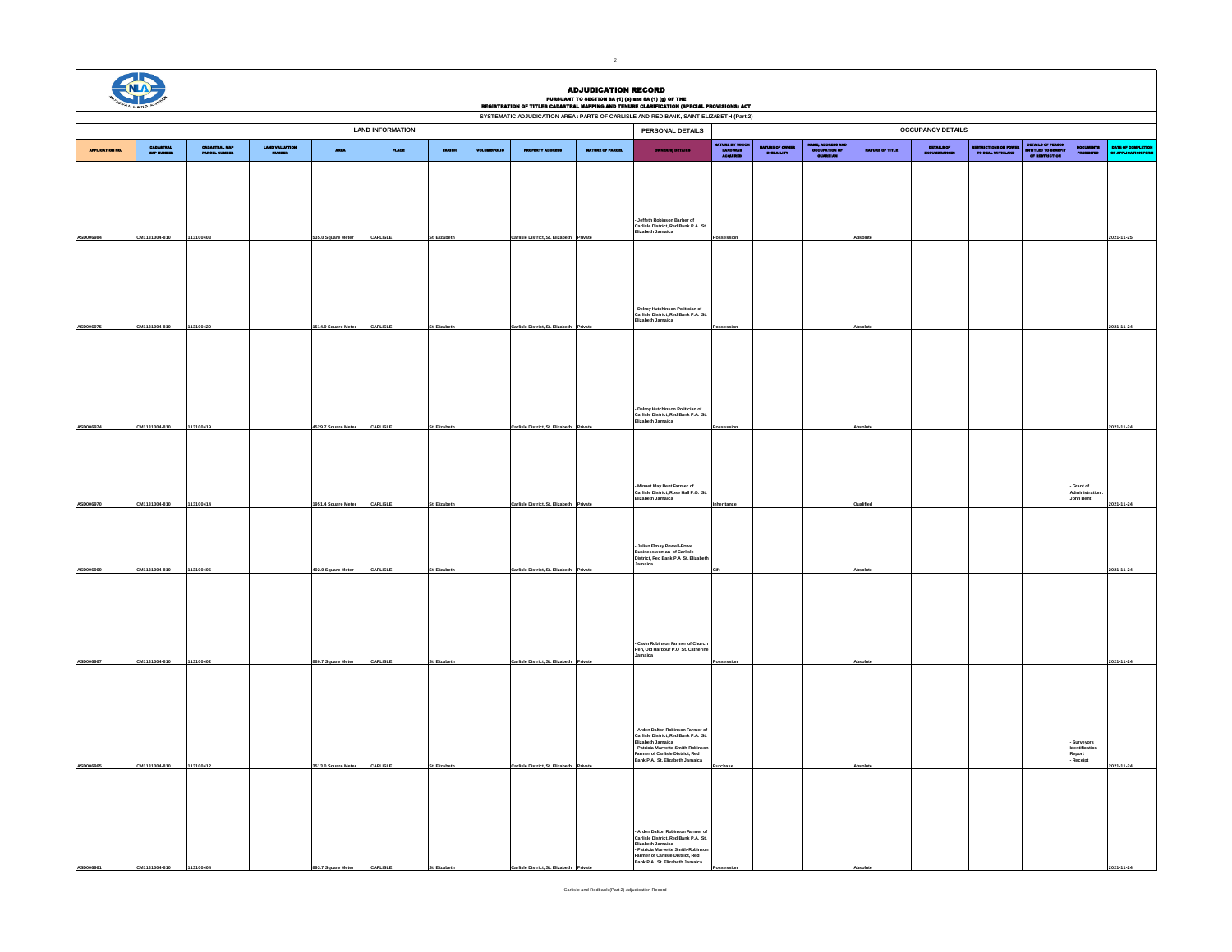|           | <b>CIVILA</b><br><b>ADJUDICATION RECORD</b><br>PURBUANT TO SECTION 8A (1) (e) and 8A (1) (g) OF THE<br>REGISTRATION OF TITLES CADASTRAL MAPPING AND TENURE CLARIFICATION (SPECIAL PROVISIONS) ACT<br>SYSTEMATIC ADJUDICATION AREA : PARTS OF CARLISLE AND RED BANK, SAINT ELIZABETH (Part 2) |                               |                          |                     |                         |                |  |                                 |  |                                                                                                                                                                                                                                                |                                            |                              |                                                 |                      |            |                                            |                                                         |                                                                    |                                        |  |
|-----------|----------------------------------------------------------------------------------------------------------------------------------------------------------------------------------------------------------------------------------------------------------------------------------------------|-------------------------------|--------------------------|---------------------|-------------------------|----------------|--|---------------------------------|--|------------------------------------------------------------------------------------------------------------------------------------------------------------------------------------------------------------------------------------------------|--------------------------------------------|------------------------------|-------------------------------------------------|----------------------|------------|--------------------------------------------|---------------------------------------------------------|--------------------------------------------------------------------|----------------------------------------|--|
|           |                                                                                                                                                                                                                                                                                              |                               |                          |                     |                         |                |  |                                 |  |                                                                                                                                                                                                                                                |                                            |                              |                                                 |                      |            |                                            |                                                         |                                                                    |                                        |  |
|           |                                                                                                                                                                                                                                                                                              |                               |                          |                     | <b>LAND INFORMATION</b> |                |  |                                 |  | <b>OCCUPANCY DETAILS</b><br>PERSONAL DETAILS                                                                                                                                                                                                   |                                            |                              |                                                 |                      |            |                                            |                                                         |                                                                    |                                        |  |
|           | CARACTERS.<br>New Hollings                                                                                                                                                                                                                                                                   | CARASTRAL MAP<br>PAROSL HUMME | LAND VALUATION<br>NUMBER | <b>ABBA</b>         | <b>PLACE</b>            | <b>PARTIES</b> |  |                                 |  |                                                                                                                                                                                                                                                | iayurii by White<br>Ladid Wad<br>Acquiriid | NATURE OF CHOIN<br>DOMAILITY | HAMM, ADDRESS AND<br>GOGLIPATION OF<br>GUARDIAN | <b>MATURE OF THE</b> | DETAILS OF | RESTRICTIONS ON POWER<br>TO BEAL WITH LAND | DITAILS OF FIRSCH<br>ISOTTLED TO SECUTE<br>OF EXECUTION | $\begin{array}{c} \text{pocultium} \\ \text{pancumum} \end{array}$ | BATE OF COMPLETE<br>OF APPLICATION POL |  |
|           |                                                                                                                                                                                                                                                                                              |                               |                          |                     |                         |                |  |                                 |  |                                                                                                                                                                                                                                                |                                            |                              |                                                 |                      |            |                                            |                                                         |                                                                    |                                        |  |
|           |                                                                                                                                                                                                                                                                                              |                               |                          |                     |                         |                |  |                                 |  | - Jeffeth Robinson Barber of<br>Carlisle District, Red Bank P.A. St.<br>Elizabeth Jamaica                                                                                                                                                      |                                            |                              |                                                 |                      |            |                                            |                                                         |                                                                    |                                        |  |
|           | CM1131004-810                                                                                                                                                                                                                                                                                | 113100403                     |                          | 535.0 Square Mete   | CARLISLE                |                |  | rlisle District, St. Eliza      |  |                                                                                                                                                                                                                                                |                                            |                              |                                                 |                      |            |                                            |                                                         |                                                                    | 2021-11-25                             |  |
| ASD006975 |                                                                                                                                                                                                                                                                                              |                               |                          |                     | CARLISLE                |                |  | rlisle District, St. Eliz       |  | - Delroy Hutchinson Politician of<br>Carlisle District, Red Bank P.A. St.<br>Elizabeth Jamaica                                                                                                                                                 |                                            |                              |                                                 |                      |            |                                            |                                                         |                                                                    |                                        |  |
|           | CM1131004-810                                                                                                                                                                                                                                                                                | 113100420                     |                          | 1514.9 Square Mete  |                         |                |  |                                 |  |                                                                                                                                                                                                                                                |                                            |                              |                                                 |                      |            |                                            |                                                         |                                                                    | 2021-11-24                             |  |
|           |                                                                                                                                                                                                                                                                                              |                               |                          |                     |                         |                |  |                                 |  | - Delroy Hutchinson Politician of<br>Carlisle District, Red Bank P.A. St.<br>Elizabeth Jamaica                                                                                                                                                 |                                            |                              |                                                 |                      |            |                                            |                                                         |                                                                    |                                        |  |
| ASD006974 | CM1131004-810                                                                                                                                                                                                                                                                                | 113100419                     |                          | 4529.7 Square Meter | CARLISLE                | t. Elizabe     |  | arlisle District. St. Elizabet  |  |                                                                                                                                                                                                                                                |                                            |                              |                                                 |                      |            |                                            |                                                         |                                                                    | 2021-11-24                             |  |
| ASD006970 | CM1131004-810                                                                                                                                                                                                                                                                                | 113100414                     |                          | 1951.4 Square Meter | CARLISLE                | st. Elizabe    |  | arlisle District, St. Elizabeth |  | - Minnet May Bent Farmer of<br>Carlisle District, Rose Hall P.O. St.<br>Elizabeth Jamaica                                                                                                                                                      |                                            |                              |                                                 |                      |            |                                            |                                                         | - Grant of<br>- Grund or<br>Administration<br>John Bent            | 2021-11-24                             |  |
| ASD006969 | CM1131004-810                                                                                                                                                                                                                                                                                | 113100405                     |                          | 492.9 Square Meter  | CARLISLE                | t. Elizabeth   |  | lisle District. St. Bizabeth    |  | - Julian Elmay Powell-Rowe<br>Businesswoman of Carlisle<br>District, Red Bank P.A St. Elizab<br>amaica                                                                                                                                         |                                            |                              |                                                 |                      |            |                                            |                                                         |                                                                    | 2021-11-24                             |  |
| ASD006967 | CM1131004-810                                                                                                                                                                                                                                                                                | 113100402                     |                          | 380.7 Square Mete   | CARLISLE                |                |  | arlisle District. St.           |  | - Cavin Robinson Farmer of Church<br>Pen, Old Harbour P.O St. Catherine<br>Jamaica                                                                                                                                                             |                                            |                              |                                                 |                      |            |                                            |                                                         |                                                                    | 2021-11-24                             |  |
|           |                                                                                                                                                                                                                                                                                              |                               |                          |                     |                         |                |  |                                 |  |                                                                                                                                                                                                                                                |                                            |                              |                                                 |                      |            |                                            |                                                         |                                                                    |                                        |  |
| ASD006965 | CM1131004-810                                                                                                                                                                                                                                                                                | 113100412                     |                          | 3513.0 Square Meter | CARLISLE                |                |  | <u>triisle District. St. El</u> |  | Arden Dalton Robinson Farmer of<br>Carlisle District, Red Bank P.A. St.<br>Elizabeth Jamaica<br>- Patricia Marvette Smith-Robinson<br>Farmer of Carlisle District, Red<br>Bank P.A. St. Elizabeth Jamaica                                      |                                            |                              |                                                 |                      |            |                                            |                                                         | - Surveyors<br>Identification<br>Report<br>- Receipt               | 2021-11-24                             |  |
|           | 015-500111-02                                                                                                                                                                                                                                                                                | 113100                        |                          | 893.7 Sm            |                         |                |  |                                 |  | Arden Dalton Robinson Farmer o<br>- Arden Dalton Robinson Farmer of<br>Carlisle District, Red Bank P.A. St.<br>El'Izabeth Jamaica<br>- Patricia Marvette Smith-Robinson<br>Farmer of Carlisle District, Red<br>Bank P.A. St. Elizabeth Jamaica |                                            |                              |                                                 |                      |            |                                            |                                                         |                                                                    | $1 - 11 - 24$                          |  |

2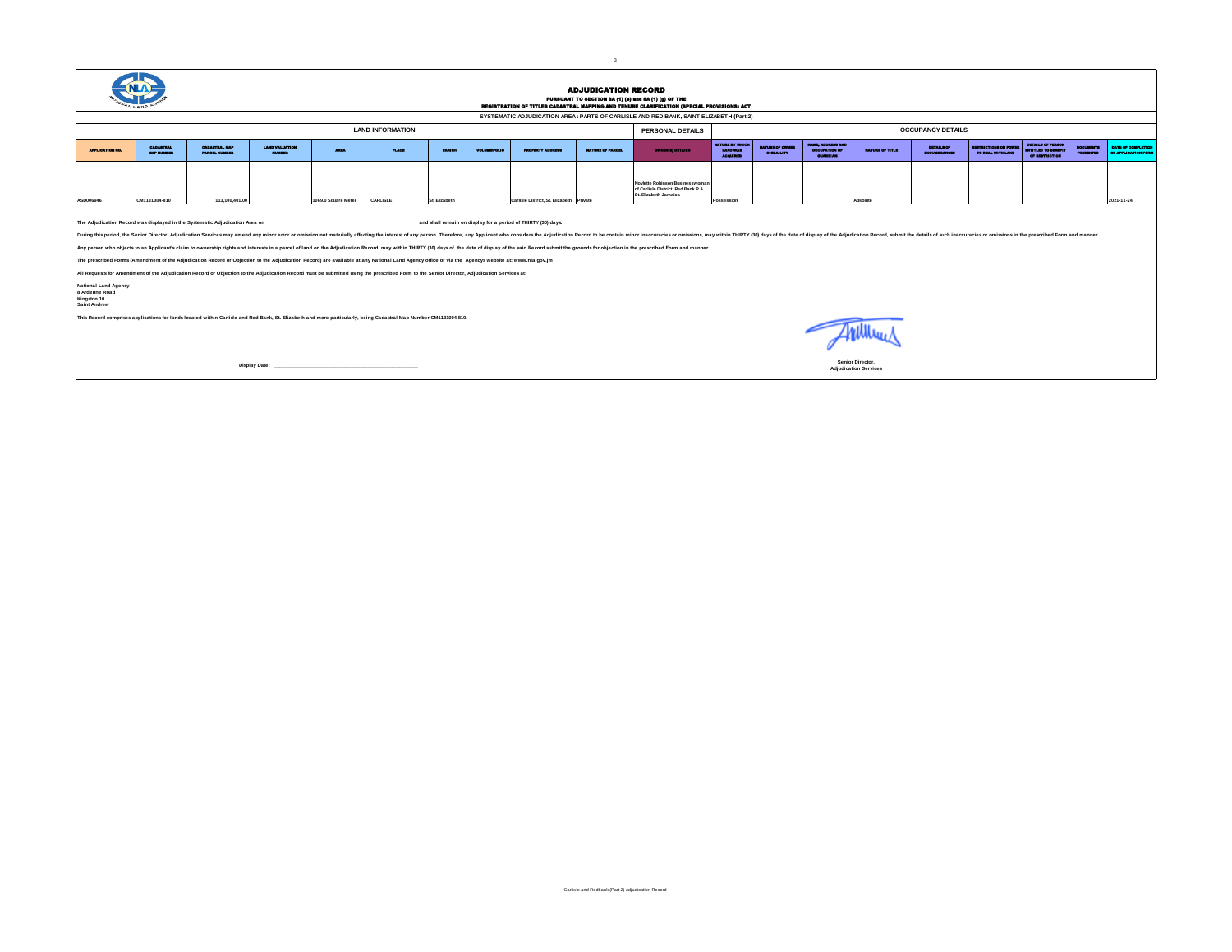|  | c |
|--|---|
|  |   |

|                                                                                                                                                                                                                                                                                                                                                                                                                                                                                                                                                                                                                                                                                                                                                                                                                        |                                        |                                             |                                     |                     |              |                      |                     |                                         | <b>ADJUDICATION RECORD</b> | PURSUANT TO SHOTICH SA (1) (e) and SA (1) (g) OF THE<br>REGISTRATION OF TITLES CADASTRAL MAPPING AND TENURE CLARIFICATION (SPECIAL PROVISIONS) ACT |                                                                     |                                          |                                                                |                                                  |                             |                                       |                                                                           |                  |                                                   |  |  |
|------------------------------------------------------------------------------------------------------------------------------------------------------------------------------------------------------------------------------------------------------------------------------------------------------------------------------------------------------------------------------------------------------------------------------------------------------------------------------------------------------------------------------------------------------------------------------------------------------------------------------------------------------------------------------------------------------------------------------------------------------------------------------------------------------------------------|----------------------------------------|---------------------------------------------|-------------------------------------|---------------------|--------------|----------------------|---------------------|-----------------------------------------|----------------------------|----------------------------------------------------------------------------------------------------------------------------------------------------|---------------------------------------------------------------------|------------------------------------------|----------------------------------------------------------------|--------------------------------------------------|-----------------------------|---------------------------------------|---------------------------------------------------------------------------|------------------|---------------------------------------------------|--|--|
| SYSTEMATIC ADJUDICATION AREA : PARTS OF CARLISLE AND RED BANK, SAINT ELIZABETH (Part 2)                                                                                                                                                                                                                                                                                                                                                                                                                                                                                                                                                                                                                                                                                                                                |                                        |                                             |                                     |                     |              |                      |                     |                                         |                            |                                                                                                                                                    |                                                                     |                                          |                                                                |                                                  |                             |                                       |                                                                           |                  |                                                   |  |  |
|                                                                                                                                                                                                                                                                                                                                                                                                                                                                                                                                                                                                                                                                                                                                                                                                                        |                                        | <b>LAND INFORMATION</b><br>PERSONAL DETAILS |                                     |                     |              |                      |                     |                                         |                            |                                                                                                                                                    | <b>OCCUPANCY DETAILS</b>                                            |                                          |                                                                |                                                  |                             |                                       |                                                                           |                  |                                                   |  |  |
| APPLICATION NO.                                                                                                                                                                                                                                                                                                                                                                                                                                                                                                                                                                                                                                                                                                                                                                                                        | <b>BARTING</b><br><b>New residence</b> | CADASTERS, MAP<br>PAROM HOMES               | LAND VALUATION<br><b>STATISTICS</b> | <b>ARMA</b>         | <b>PLAGE</b> | <b>MARGER</b>        | <b>MOLEN BROKER</b> | <b>PROPERTY ADDRESS</b>                 | <b>NUTURE OF PARCE.</b>    | <b>OUTSTAND DETAILS</b>                                                                                                                            | <b><i><u>INTERNET WARD</u></i></b><br>LAND WAS<br><b>ACCURACION</b> | <b>MARINE OF CHANCE</b><br><b>MAILEY</b> | <b>WALE, ADDRESS AND</b><br><b>NO NORWANO</b><br><b>CUMBUM</b> | <b>NATURE OF THEF</b>                            | DITAILS OF<br>an shina anno | muericae ca Pous<br>TO DEAL WITH LAND | <b>MEMILA OF FIREST</b><br><b>BITTLE TO BEEF</b><br><b>OF RESTRICTION</b> | <b>MARKETING</b> | <b>BATE OF COMPLETION</b><br>OF APPLICATION POINT |  |  |
| ASD006946                                                                                                                                                                                                                                                                                                                                                                                                                                                                                                                                                                                                                                                                                                                                                                                                              | CM1131004-810                          | 113,100,401.00                              |                                     | 1069.0 Square Meter | CARLISLE     | <b>St. Elizabeth</b> |                     | Carlisle District, St. Bizabeth Private |                            | Noviette Robinson Businesswoman<br>of Carlisle District, Red Bank P.A.<br>St. Elizabeth Jamaica                                                    | Possession                                                          |                                          |                                                                | Absolute                                         |                             |                                       |                                                                           |                  | 021-11-24                                         |  |  |
| The Adjudication Record was displayed in the Systematic Adjudication Area on<br>and shall remain on display for a period of THIRTY (30) days.<br>During this period, the Senior Director, Adjudication Services may amend any minor error or omission not materially affecting the interest of any person. Therefore, any Applicant who considers the Adjudication Record to be<br>Any person who objects to an Applicant's claim to ownership rights and interests in a parcel of land on the Adjudication Record, may within THIRTY (30) days of the date of display of the said Record submit the grounds for<br>The prescribed Forms (Amendment of the Adjudication Record or Objection to the Adjudication Record) are available at any National Land Agency office or via the Agencys website at: www.nla.gov.jm |                                        |                                             |                                     |                     |              |                      |                     |                                         |                            |                                                                                                                                                    |                                                                     |                                          |                                                                |                                                  |                             |                                       |                                                                           |                  |                                                   |  |  |
| All Requests for Amendment of the Adjudication Record or Objection to the Adjudication Record must be submitted using the prescribed Form to the Senior Director, Adjudication Services at:<br><b>National Land Agency</b><br>8 Ardenne Road<br>Kingston 10<br><b>Saint Andrew</b>                                                                                                                                                                                                                                                                                                                                                                                                                                                                                                                                     |                                        |                                             |                                     |                     |              |                      |                     |                                         |                            |                                                                                                                                                    |                                                                     |                                          |                                                                |                                                  |                             |                                       |                                                                           |                  |                                                   |  |  |
| This Record comprises applications for lands located within Carlisle and Red Bank, St. Elizabeth and more particularly, being Cadastral Map Number CM1131004-810.                                                                                                                                                                                                                                                                                                                                                                                                                                                                                                                                                                                                                                                      |                                        |                                             |                                     |                     |              |                      |                     |                                         |                            |                                                                                                                                                    |                                                                     |                                          |                                                                |                                                  |                             |                                       |                                                                           |                  |                                                   |  |  |
| Display Date:                                                                                                                                                                                                                                                                                                                                                                                                                                                                                                                                                                                                                                                                                                                                                                                                          |                                        |                                             |                                     |                     |              |                      |                     |                                         |                            |                                                                                                                                                    |                                                                     |                                          |                                                                | Senior Director.<br><b>Adiudication Services</b> |                             |                                       |                                                                           |                  |                                                   |  |  |